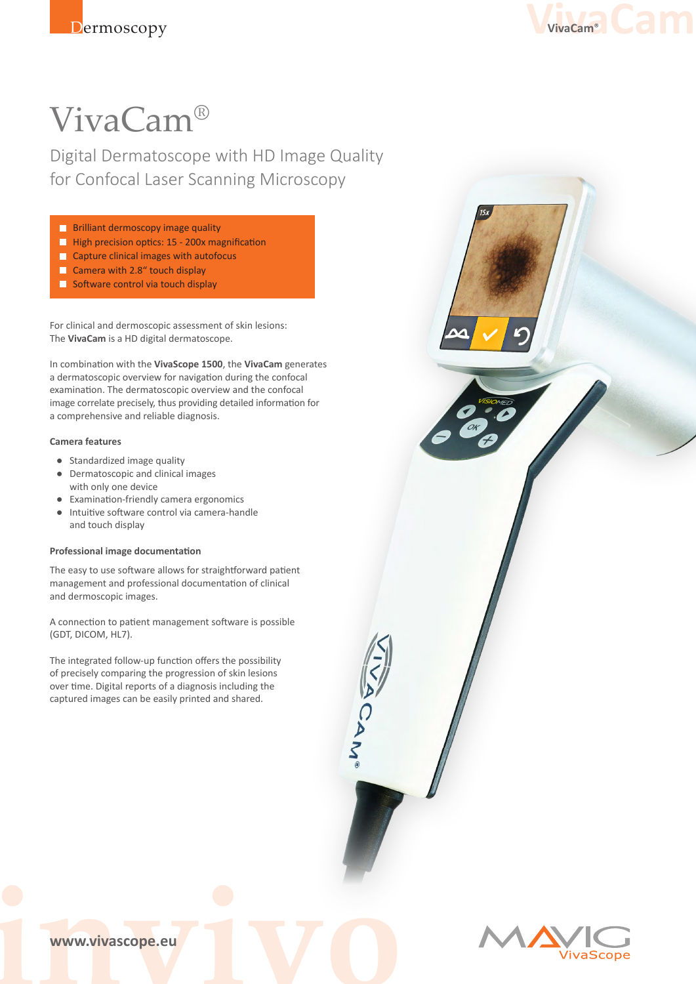

# VivaCam®

Digital Dermatoscope with HD Image Quality for Confocal Laser Scanning Microscopy

- **Brilliant dermoscopy image quality**
- **High precision optics: 15 200x magnification**
- **Capture clinical images with autofocus**
- Camera with 2.8" touch display
- $\blacksquare$  Software control via touch display

For clinical and dermoscopic assessment of skin lesions: The **VivaCam** is a HD digital dermatoscope.

In combination with the **VivaScope 1500**, the **VivaCam** generates a dermatoscopic overview for navigation during the confocal examination. The dermatoscopic overview and the confocal image correlate precisely, thus providing detailed information for a comprehensive and reliable diagnosis.

### **Camera features**

- Standardized image quality
- Dermatoscopic and clinical images with only one device
- **Examination-friendly camera ergonomics**
- Intuitive software control via camera-handle and touch display

#### **Professional image documentation**

The easy to use software allows for straightforward patient management and professional documentation of clinical and dermoscopic images.

A connection to patient management software is possible (GDT, DICOM, HL7).

The integrated follow-up function offers the possibility of precisely comparing the progression of skin lesions over time. Digital reports of a diagnosis including the captured images can be easily printed and shared.



**invivolverside Community Community**